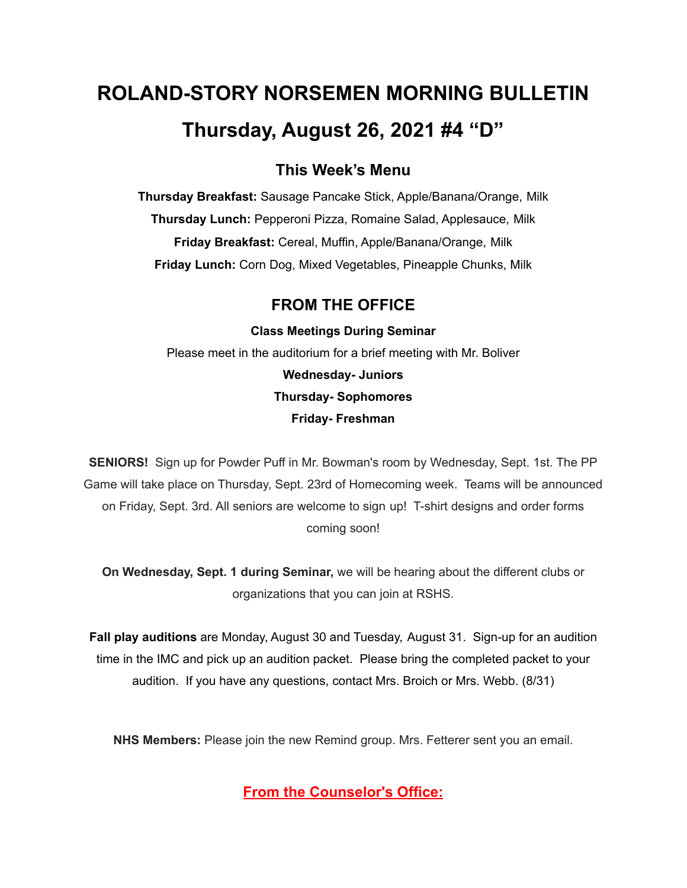# **ROLAND-STORY NORSEMEN MORNING BULLETIN Thursday, August 26, 2021 #4 "D"**

## **This Week's Menu**

**Thursday Breakfast:** Sausage Pancake Stick, Apple/Banana/Orange, Milk **Thursday Lunch:** Pepperoni Pizza, Romaine Salad, Applesauce, Milk **Friday Breakfast:** Cereal, Muffin, Apple/Banana/Orange, Milk **Friday Lunch:** Corn Dog, Mixed Vegetables, Pineapple Chunks, Milk

# **FROM THE OFFICE**

**Class Meetings During Seminar** Please meet in the auditorium for a brief meeting with Mr. Boliver **Wednesday- Juniors Thursday- Sophomores Friday- Freshman**

**SENIORS!** Sign up for Powder Puff in Mr. Bowman's room by Wednesday, Sept. 1st. The PP Game will take place on Thursday, Sept. 23rd of Homecoming week. Teams will be announced on Friday, Sept. 3rd. All seniors are welcome to sign up! T-shirt designs and order forms coming soon!

**On Wednesday, Sept. 1 during Seminar,** we will be hearing about the different clubs or organizations that you can join at RSHS.

**Fall play auditions** are Monday, August 30 and Tuesday, August 31. Sign-up for an audition time in the IMC and pick up an audition packet. Please bring the completed packet to your audition. If you have any questions, contact Mrs. Broich or Mrs. Webb. (8/31)

**NHS Members:** Please join the new Remind group. Mrs. Fetterer sent you an email.

**From the Counselor's Office:**